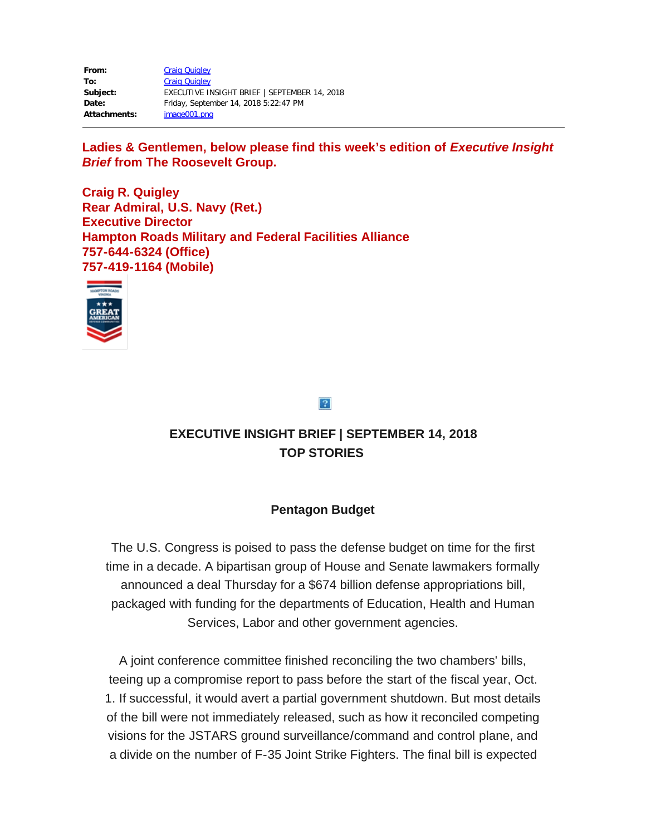| From:               | <b>Craig Quigley</b>                         |
|---------------------|----------------------------------------------|
| To:                 | <b>Craig Quigley</b>                         |
| Subject:            | EXECUTIVE INSIGHT BRIEF   SEPTEMBER 14, 2018 |
| Date:               | Friday, September 14, 2018 5:22:47 PM        |
| <b>Attachments:</b> | image001.png                                 |

Ladies & Gentlemen, below please find this week's edition of *Executive Insight Brief* **from The Roosevelt Group.**

**Craig R. Quigley Rear Admiral, U.S. Navy (Ret.) Executive Director Hampton Roads Military and Federal Facilities Alliance 757-644-6324 (Office) 757-419-1164 (Mobile)**



## $|2|$

# **EXECUTIVE INSIGHT BRIEF | SEPTEMBER 14, 2018 TOP STORIES**

## **Pentagon Budget**

The U.S. Congress is poised to pass the defense budget on time for the first time in a decade. A bipartisan group of House and Senate lawmakers formally announced a deal Thursday for a \$674 billion defense appropriations bill, packaged with funding for the departments of Education, Health and Human Services, Labor and other government agencies.

A joint conference committee finished reconciling the two chambers' bills, teeing up a compromise report to pass before the start of the fiscal year, Oct. 1. If successful, it would avert a partial government shutdown. But most details of the bill were not immediately released, such as how it reconciled competing visions for the JSTARS ground surveillance/command and control plane, and a divide on the number of F-35 Joint Strike Fighters. The final bill is expected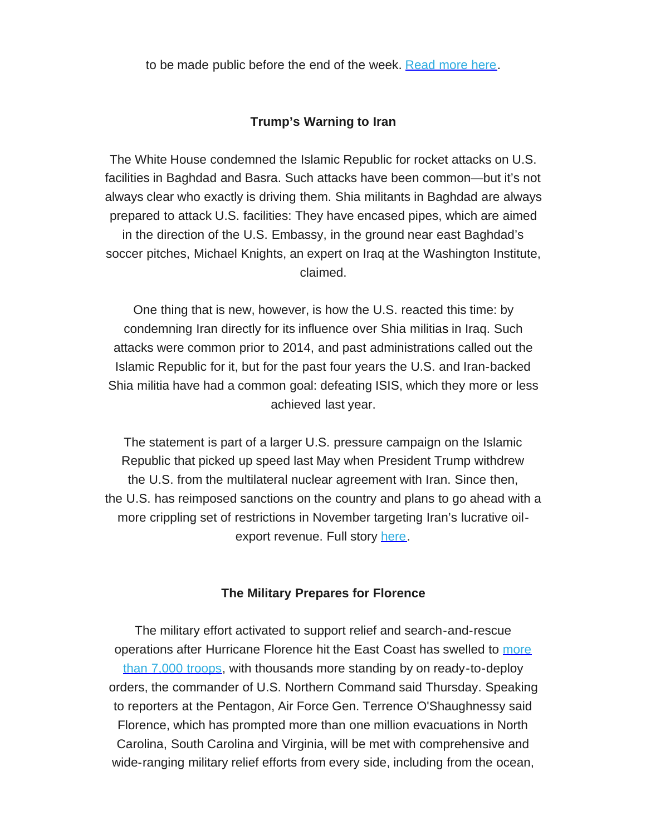to be made public before the end of the week. [Read](https://rooseveltdc.us12.list-manage.com/track/click?u=322456b7b4ad08c1b4904c407&id=c40dfe7ab7&e=5c6d0a3b33) more here.

#### **Trump's Warning to Iran**

The White House condemned the Islamic Republic for rocket attacks on U.S. facilities in Baghdad and Basra. Such attacks have been common—but it's not always clear who exactly is driving them. Shia militants in Baghdad are always prepared to attack U.S. facilities: They have encased pipes, which are aimed in the direction of the U.S. Embassy, in the ground near east Baghdad's soccer pitches, Michael Knights, an expert on Iraq at the Washington Institute, claimed.

One thing that is new, however, is how the U.S. reacted this time: by condemning Iran directly for its influence over Shia militias in Iraq. Such attacks were common prior to 2014, and past administrations called out the Islamic Republic for it, but for the past four years the U.S. and Iran-backed Shia militia have had a common goal: defeating ISIS, which they more or less achieved last year.

The statement is part of a larger U.S. pressure campaign on the Islamic Republic that picked up speed last May when President Trump withdrew the U.S. from the multilateral nuclear agreement with Iran. Since then, the U.S. has reimposed sanctions on the country and plans to go ahead with a more crippling set of restrictions in November targeting Iran's lucrative oilexport revenue. Full story [here.](https://rooseveltdc.us12.list-manage.com/track/click?u=322456b7b4ad08c1b4904c407&id=ae12da7fd7&e=5c6d0a3b33)

#### **The Military Prepares for Florence**

The military effort activated to support relief and search-and-rescue operations after Hurricane Florence hit the East Coast has swelled to [more](https://rooseveltdc.us12.list-manage.com/track/click?u=322456b7b4ad08c1b4904c407&id=f3f3699801&e=5c6d0a3b33) than 7,000 [troops,](https://rooseveltdc.us12.list-manage.com/track/click?u=322456b7b4ad08c1b4904c407&id=f3f3699801&e=5c6d0a3b33) with thousands more standing by on ready-to-deploy orders, the commander of U.S. Northern Command said Thursday. Speaking to reporters at the Pentagon, Air Force Gen. Terrence O'Shaughnessy said Florence, which has prompted more than one million evacuations in North Carolina, South Carolina and Virginia, will be met with comprehensive and wide-ranging military relief efforts from every side, including from the ocean,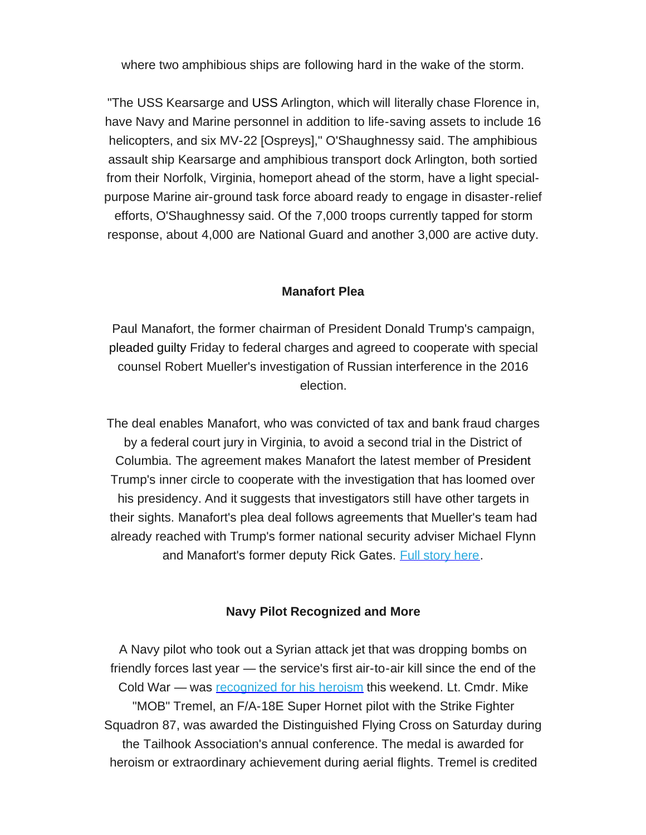where two amphibious ships are following hard in the wake of the storm.

"The USS Kearsarge and USS Arlington, which will literally chase Florence in, have Navy and Marine personnel in addition to life-saving assets to include 16 helicopters, and six MV-22 [Ospreys]," O'Shaughnessy said. The amphibious assault ship Kearsarge and amphibious transport dock Arlington, both sortied from their Norfolk, Virginia, homeport ahead of the storm, have a light specialpurpose Marine air-ground task force aboard ready to engage in disaster-relief efforts, O'Shaughnessy said. Of the 7,000 troops currently tapped for storm response, about 4,000 are National Guard and another 3,000 are active duty.

#### **Manafort Plea**

Paul Manafort, the former chairman of President Donald Trump's campaign, pleaded guilty Friday to federal charges and agreed to cooperate with special counsel Robert Mueller's investigation of Russian interference in the 2016 election.

The deal enables Manafort, who was convicted of tax and bank fraud charges by a federal court jury in Virginia, to avoid a second trial in the District of Columbia. The agreement makes Manafort the latest member of President Trump's inner circle to cooperate with the investigation that has loomed over his presidency. And it suggests that investigators still have other targets in their sights. Manafort's plea deal follows agreements that Mueller's team had already reached with Trump's former national security adviser Michael Flynn and Manafort's former deputy Rick Gates. Full [story](https://rooseveltdc.us12.list-manage.com/track/click?u=322456b7b4ad08c1b4904c407&id=6619185b3a&e=5c6d0a3b33) here.

#### **Navy Pilot Recognized and More**

A Navy pilot who took out a Syrian attack jet that was dropping bombs on friendly forces last year — the service's first air-to-air kill since the end of the Cold War — was [recognized](https://rooseveltdc.us12.list-manage.com/track/click?u=322456b7b4ad08c1b4904c407&id=3715af7dde&e=5c6d0a3b33) for his heroism this weekend. Lt. Cmdr. Mike "MOB" Tremel, an F/A-18E Super Hornet pilot with the Strike Fighter Squadron 87, was awarded the Distinguished Flying Cross on Saturday during the Tailhook Association's annual conference. The medal is awarded for heroism or extraordinary achievement during aerial flights. Tremel is credited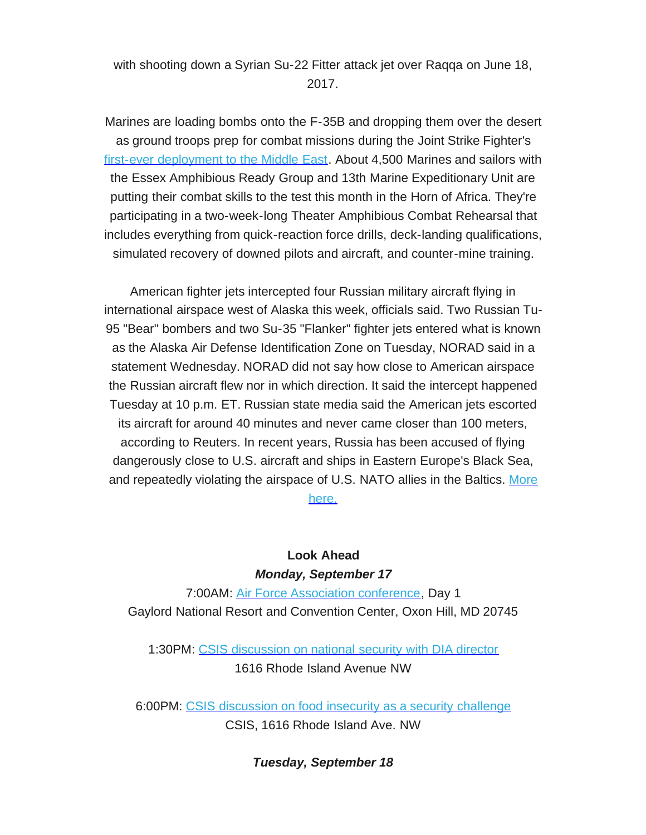with shooting down a Syrian Su-22 Fitter attack jet over Raqqa on June 18, 2017.

Marines are loading bombs onto the F-35B and dropping them over the desert as ground troops prep for combat missions during the Joint Strike Fighter's first-ever [deployment](https://rooseveltdc.us12.list-manage.com/track/click?u=322456b7b4ad08c1b4904c407&id=689675d104&e=5c6d0a3b33) to the Middle East. About 4,500 Marines and sailors with the Essex Amphibious Ready Group and 13th Marine Expeditionary Unit are putting their combat skills to the test this month in the Horn of Africa. They're participating in a two-week-long Theater Amphibious Combat Rehearsal that includes everything from quick-reaction force drills, deck-landing qualifications, simulated recovery of downed pilots and aircraft, and counter-mine training.

American fighter jets intercepted four Russian military aircraft flying in international airspace west of Alaska this week, officials said. Two Russian Tu-95 "Bear" bombers and two Su-35 "Flanker" fighter jets entered what is known as the Alaska Air Defense Identification Zone on Tuesday, NORAD said in a statement Wednesday. NORAD did not say how close to American airspace the Russian aircraft flew nor in which direction. It said the intercept happened Tuesday at 10 p.m. ET. Russian state media said the American jets escorted its aircraft for around 40 minutes and never came closer than 100 meters, according to Reuters. In recent years, Russia has been accused of flying dangerously close to U.S. aircraft and ships in Eastern Europe's Black Sea, and repeatedly violating the airspace of U.S. NATO allies in the Baltics. [More](https://rooseveltdc.us12.list-manage.com/track/click?u=322456b7b4ad08c1b4904c407&id=474698d016&e=5c6d0a3b33)

[here.](https://rooseveltdc.us12.list-manage.com/track/click?u=322456b7b4ad08c1b4904c407&id=474698d016&e=5c6d0a3b33)

# **Look Ahead** *Monday, September 17*

7:00AM: Air Force [Association](https://rooseveltdc.us12.list-manage.com/track/click?u=322456b7b4ad08c1b4904c407&id=5691b8c810&e=5c6d0a3b33) conference, Day 1 Gaylord National Resort and Convention Center, Oxon Hill, MD 20745

1:30PM: CSIS [discussion](https://rooseveltdc.us12.list-manage.com/track/click?u=322456b7b4ad08c1b4904c407&id=0c8dfbf71e&e=5c6d0a3b33) on national security with DIA director 1616 Rhode Island Avenue NW

6:00PM: CSIS [discussion](https://rooseveltdc.us12.list-manage.com/track/click?u=322456b7b4ad08c1b4904c407&id=b5ce1537a5&e=5c6d0a3b33) on food insecurity as a security challenge CSIS, 1616 Rhode Island Ave. NW

*Tuesday, September 18*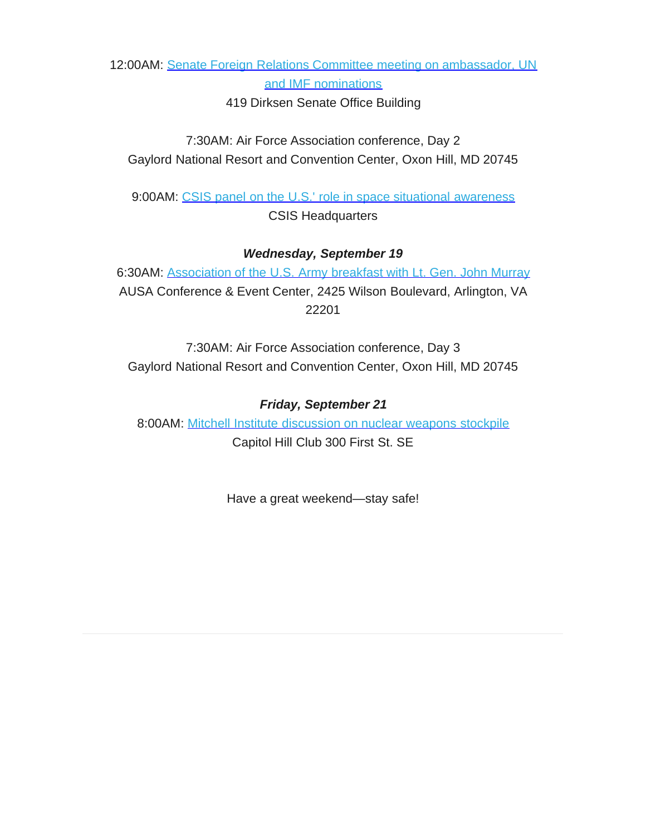12:00AM: Senate Foreign Relations Committee meeting on [ambassador,](https://rooseveltdc.us12.list-manage.com/track/click?u=322456b7b4ad08c1b4904c407&id=6e2afd8bb2&e=5c6d0a3b33) UN and IMF [nominations](https://rooseveltdc.us12.list-manage.com/track/click?u=322456b7b4ad08c1b4904c407&id=6e2afd8bb2&e=5c6d0a3b33)

419 Dirksen Senate Office Building

7:30AM: Air Force Association conference, Day 2 Gaylord National Resort and Convention Center, Oxon Hill, MD 20745

9:00AM: CSIS panel on the U.S.' role in space situational [awareness](https://rooseveltdc.us12.list-manage.com/track/click?u=322456b7b4ad08c1b4904c407&id=a302733ae2&e=5c6d0a3b33) CSIS Headquarters

#### *Wednesday, September 19*

6:30AM: [Association](https://rooseveltdc.us12.list-manage.com/track/click?u=322456b7b4ad08c1b4904c407&id=2c2d7e6fa1&e=5c6d0a3b33) of the U.S. Army breakfast with Lt. Gen. John Murray AUSA Conference & Event Center, 2425 Wilson Boulevard, Arlington, VA 22201

7:30AM: Air Force Association conference, Day 3 Gaylord National Resort and Convention Center, Oxon Hill, MD 20745

#### *Friday, September 21*

8:00AM: Mitchell Institute [discussion](https://rooseveltdc.us12.list-manage.com/track/click?u=322456b7b4ad08c1b4904c407&id=241cbb6475&e=5c6d0a3b33) on nuclear weapons stockpile Capitol Hill Club 300 First St. SE

Have a great weekend—stay safe!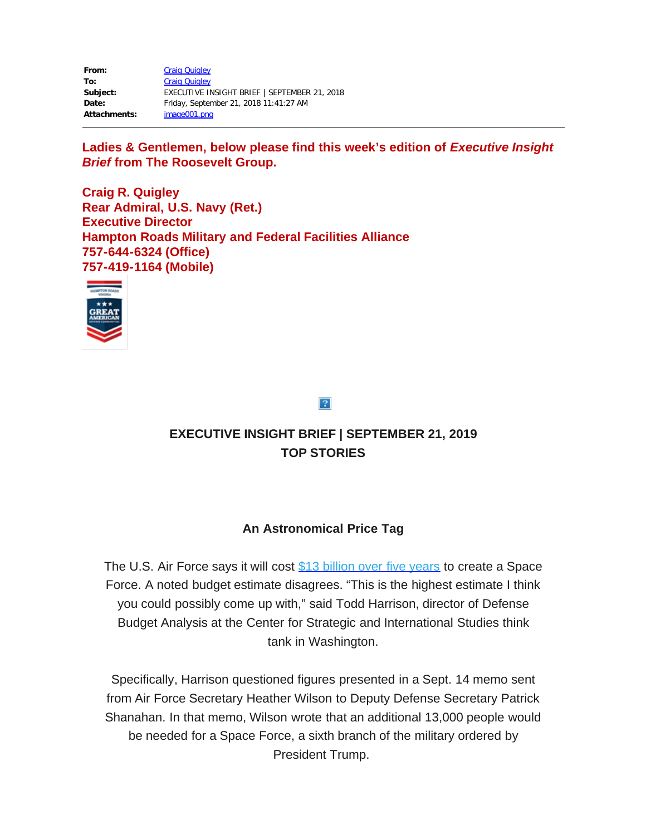| From:               | <b>Craig Quigley</b>                         |
|---------------------|----------------------------------------------|
| To:                 | <b>Craig Quigley</b>                         |
| Subject:            | EXECUTIVE INSIGHT BRIEF   SEPTEMBER 21, 2018 |
| Date:               | Friday, September 21, 2018 11:41:27 AM       |
| <b>Attachments:</b> | image001.png                                 |

Ladies & Gentlemen, below please find this week's edition of *Executive Insight Brief* **from The Roosevelt Group.**

**Craig R. Quigley Rear Admiral, U.S. Navy (Ret.) Executive Director Hampton Roads Military and Federal Facilities Alliance 757-644-6324 (Office) 757-419-1164 (Mobile)**



 $|2|$ 

# **EXECUTIVE INSIGHT BRIEF | SEPTEMBER 21, 2019 TOP STORIES**

# **An Astronomical Price Tag**

The U.S. Air Force says it will cost \$13 [billion](https://rooseveltdc.us12.list-manage.com/track/click?u=322456b7b4ad08c1b4904c407&id=8ecf34c4c3&e=5c6d0a3b33) over five years to create a Space Force. A noted budget estimate disagrees. "This is the highest estimate I think you could possibly come up with," said Todd Harrison, director of Defense Budget Analysis at the Center for Strategic and International Studies think tank in Washington.

Specifically, Harrison questioned figures presented in a Sept. 14 memo sent from Air Force Secretary Heather Wilson to Deputy Defense Secretary Patrick Shanahan. In that memo, Wilson wrote that an additional 13,000 people would be needed for a Space Force, a sixth branch of the military ordered by President Trump.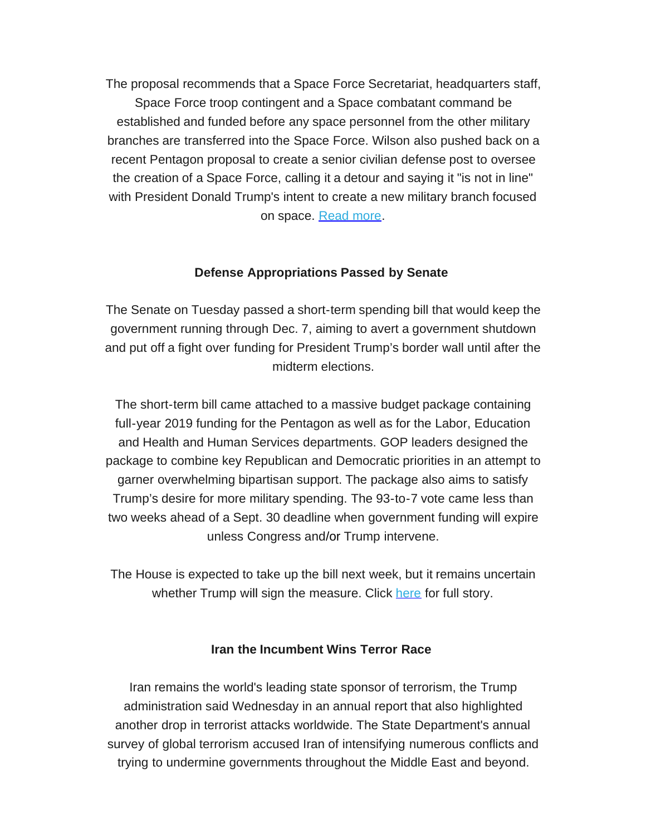The proposal recommends that a Space Force Secretariat, headquarters staff, Space Force troop contingent and a Space combatant command be established and funded before any space personnel from the other military branches are transferred into the Space Force. Wilson also pushed back on a recent Pentagon proposal to create a senior civilian defense post to oversee the creation of a Space Force, calling it a detour and saying it "is not in line" with President Donald Trump's intent to create a new military branch focused on space. [Read](https://rooseveltdc.us12.list-manage.com/track/click?u=322456b7b4ad08c1b4904c407&id=6f720d9a25&e=5c6d0a3b33) more.

## **Defense Appropriations Passed by Senate**

The Senate on Tuesday passed a short-term spending bill that would keep the government running through Dec. 7, aiming to avert a government shutdown and put off a fight over funding for President Trump's border wall until after the midterm elections.

The short-term bill came attached to a massive budget package containing full-year 2019 funding for the Pentagon as well as for the Labor, Education and Health and Human Services departments. GOP leaders designed the package to combine key Republican and Democratic priorities in an attempt to garner overwhelming bipartisan support. The package also aims to satisfy Trump's desire for more military spending. The 93-to-7 vote came less than two weeks ahead of a Sept. 30 deadline when government funding will expire unless Congress and/or Trump intervene.

The House is expected to take up the bill next week, but it remains uncertain whether Trump will sign the measure. Click [here](https://rooseveltdc.us12.list-manage.com/track/click?u=322456b7b4ad08c1b4904c407&id=1bcd39d1e6&e=5c6d0a3b33) for full story.

#### **Iran the Incumbent Wins Terror Race**

Iran remains the world's leading state sponsor of terrorism, the Trump administration said Wednesday in an annual report that also highlighted another drop in terrorist attacks worldwide. The State Department's annual survey of global terrorism accused Iran of intensifying numerous conflicts and trying to undermine governments throughout the Middle East and beyond.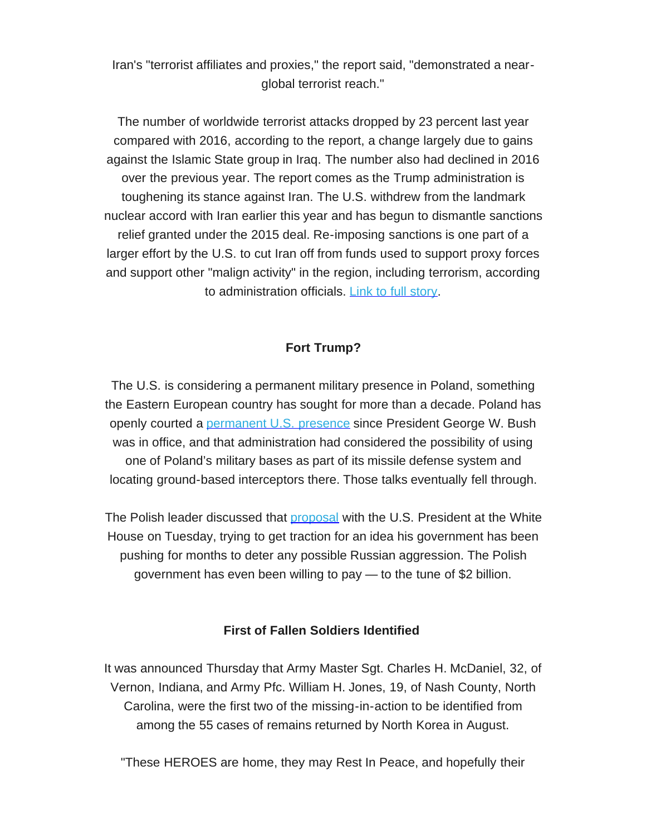Iran's "terrorist affiliates and proxies," the report said, "demonstrated a nearglobal terrorist reach."

The number of worldwide terrorist attacks dropped by 23 percent last year compared with 2016, according to the report, a change largely due to gains against the Islamic State group in Iraq. The number also had declined in 2016 over the previous year. The report comes as the Trump administration is toughening its stance against Iran. The U.S. withdrew from the landmark nuclear accord with Iran earlier this year and has begun to dismantle sanctions relief granted under the 2015 deal. Re-imposing sanctions is one part of a larger effort by the U.S. to cut Iran off from funds used to support proxy forces and support other "malign activity" in the region, including terrorism, according to administration officials. Link to full [story](https://rooseveltdc.us12.list-manage.com/track/click?u=322456b7b4ad08c1b4904c407&id=b564cee06a&e=5c6d0a3b33).

# **Fort Trump?**

The U.S. is considering a permanent military presence in Poland, something the Eastern European country has sought for more than a decade. Poland has openly courted a [permanent](https://rooseveltdc.us12.list-manage.com/track/click?u=322456b7b4ad08c1b4904c407&id=ec2ff92dc2&e=5c6d0a3b33) U.S. presence since President George W. Bush was in office, and that administration had considered the possibility of using one of Poland's military bases as part of its missile defense system and locating ground-based interceptors there. Those talks eventually fell through.

The Polish leader discussed that [proposal](https://rooseveltdc.us12.list-manage.com/track/click?u=322456b7b4ad08c1b4904c407&id=e783c90d56&e=5c6d0a3b33) with the U.S. President at the White House on Tuesday, trying to get traction for an idea his government has been pushing for months to deter any possible Russian aggression. The Polish government has even been willing to pay — to the tune of \$2 billion.

## **First of Fallen Soldiers Identified**

It was announced Thursday that Army Master Sgt. Charles H. McDaniel, 32, of Vernon, Indiana, and Army Pfc. William H. Jones, 19, of Nash County, North Carolina, were the first two of the missing-in-action to be identified from among the 55 cases of remains returned by North Korea in August.

"These HEROES are home, they may Rest In Peace, and hopefully their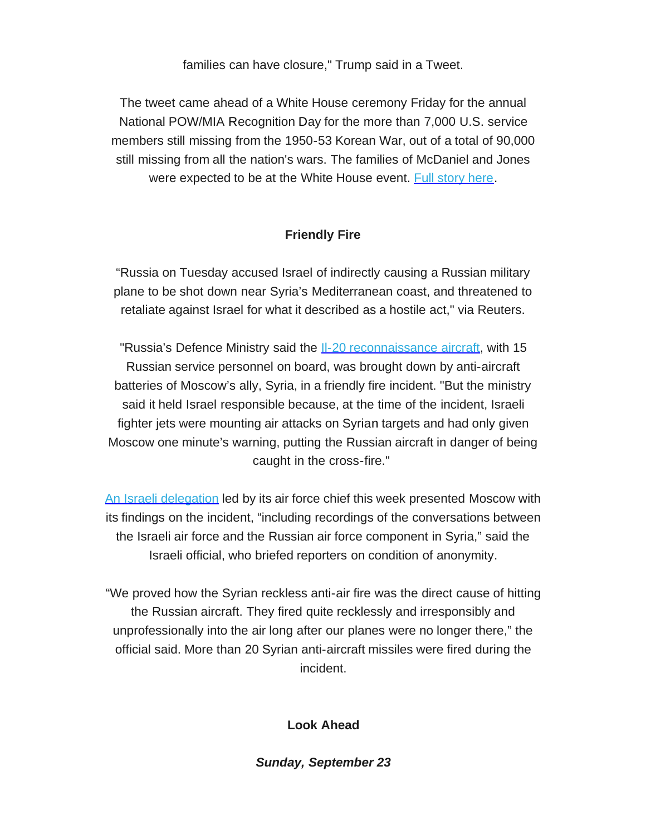families can have closure," Trump said in a Tweet.

The tweet came ahead of a White House ceremony Friday for the annual National POW/MIA Recognition Day for the more than 7,000 U.S. service members still missing from the 1950-53 Korean War, out of a total of 90,000 still missing from all the nation's wars. The families of McDaniel and Jones were expected to be at the White House event. Full [story](https://rooseveltdc.us12.list-manage.com/track/click?u=322456b7b4ad08c1b4904c407&id=857807cc6d&e=5c6d0a3b33) here.

# **Friendly Fire**

"Russia on Tuesday accused Israel of indirectly causing a Russian military plane to be shot down near Syria's Mediterranean coast, and threatened to retaliate against Israel for what it described as a hostile act," via Reuters.

"Russia's Defence Ministry said the **II-20 [reconnaissance](https://rooseveltdc.us12.list-manage.com/track/click?u=322456b7b4ad08c1b4904c407&id=856a6aadd4&e=5c6d0a3b33) aircraft**, with 15 Russian service personnel on board, was brought down by anti-aircraft batteries of Moscow's ally, Syria, in a friendly fire incident. "But the ministry said it held Israel responsible because, at the time of the incident, Israeli fighter jets were mounting air attacks on Syrian targets and had only given Moscow one minute's warning, putting the Russian aircraft in danger of being caught in the cross-fire."

An Israeli [delegation](https://rooseveltdc.us12.list-manage.com/track/click?u=322456b7b4ad08c1b4904c407&id=0f9166481c&e=5c6d0a3b33) led by its air force chief this week presented Moscow with its findings on the incident, "including recordings of the conversations between the Israeli air force and the Russian air force component in Syria," said the Israeli official, who briefed reporters on condition of anonymity.

"We proved how the Syrian reckless anti-air fire was the direct cause of hitting the Russian aircraft. They fired quite recklessly and irresponsibly and unprofessionally into the air long after our planes were no longer there," the official said. More than 20 Syrian anti-aircraft missiles were fired during the incident.

**Look Ahead**

*Sunday, September 23*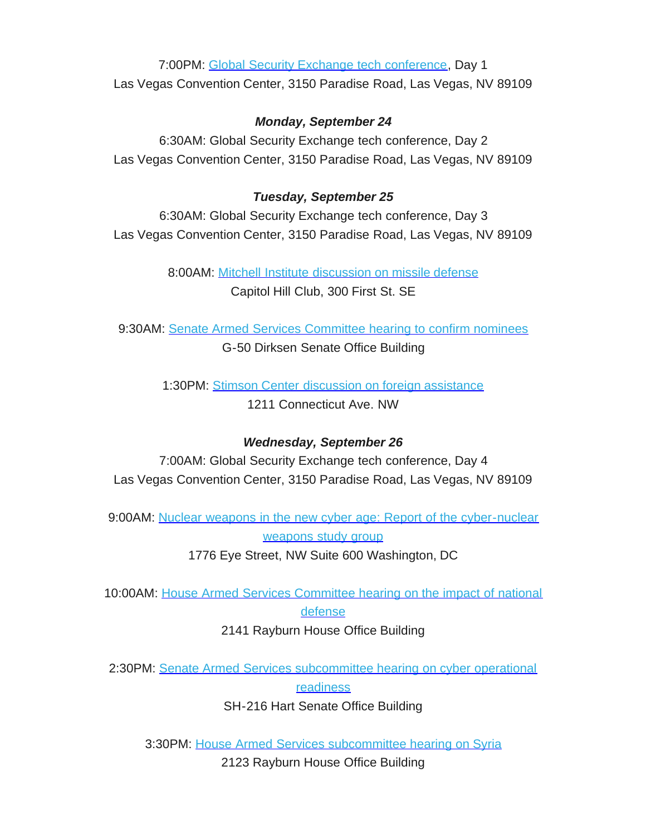7:00PM: Global Security Exchange tech [conference,](https://rooseveltdc.us12.list-manage.com/track/click?u=322456b7b4ad08c1b4904c407&id=789348bf8f&e=5c6d0a3b33) Day 1 Las Vegas Convention Center, 3150 Paradise Road, Las Vegas, NV 89109

## *Monday, September 24*

6:30AM: Global Security Exchange tech conference, Day 2 Las Vegas Convention Center, 3150 Paradise Road, Las Vegas, NV 89109

## *Tuesday, September 25*

6:30AM: Global Security Exchange tech conference, Day 3 Las Vegas Convention Center, 3150 Paradise Road, Las Vegas, NV 89109

> 8:00AM: Mitchell Institute [discussion](https://rooseveltdc.us12.list-manage.com/track/click?u=322456b7b4ad08c1b4904c407&id=57a4d38fb1&e=5c6d0a3b33) on missile defense Capitol Hill Club, 300 First St. SE

9:30AM: Senate Armed Services [Committee](https://rooseveltdc.us12.list-manage.com/track/click?u=322456b7b4ad08c1b4904c407&id=e5fe70c4b7&e=5c6d0a3b33) hearing to confirm nominees G-50 Dirksen Senate Office Building

> 1:30PM: Stimson Center discussion on foreign [assistance](https://rooseveltdc.us12.list-manage.com/track/click?u=322456b7b4ad08c1b4904c407&id=032150943a&e=5c6d0a3b33) 1211 Connecticut Ave. NW

## *Wednesday, September 26*

7:00AM: Global Security Exchange tech conference, Day 4 Las Vegas Convention Center, 3150 Paradise Road, Las Vegas, NV 89109

9:00AM: Nuclear weapons in the new cyber age: Report of the [cyber-nuclear](https://rooseveltdc.us12.list-manage.com/track/click?u=322456b7b4ad08c1b4904c407&id=c8121d4fd7&e=5c6d0a3b33) [weapons](https://rooseveltdc.us12.list-manage.com/track/click?u=322456b7b4ad08c1b4904c407&id=c8121d4fd7&e=5c6d0a3b33) study group

1776 Eye Street, NW Suite 600 Washington, DC

10:00AM: House Armed Services [Committee](https://rooseveltdc.us12.list-manage.com/track/click?u=322456b7b4ad08c1b4904c407&id=2386204312&e=5c6d0a3b33) hearing on the impact of national [defense](https://rooseveltdc.us12.list-manage.com/track/click?u=322456b7b4ad08c1b4904c407&id=2386204312&e=5c6d0a3b33)

2141 Rayburn House Office Building

2:30PM: Senate Armed Services [subcommittee](https://rooseveltdc.us12.list-manage.com/track/click?u=322456b7b4ad08c1b4904c407&id=4a152e392f&e=5c6d0a3b33) hearing on cyber operational

[readiness](https://rooseveltdc.us12.list-manage.com/track/click?u=322456b7b4ad08c1b4904c407&id=4a152e392f&e=5c6d0a3b33)

SH-216 Hart Senate Office Building

3:30PM: House Armed Services [subcommittee](https://rooseveltdc.us12.list-manage.com/track/click?u=322456b7b4ad08c1b4904c407&id=82fa0aa04c&e=5c6d0a3b33) hearing on Syria

2123 Rayburn House Office Building